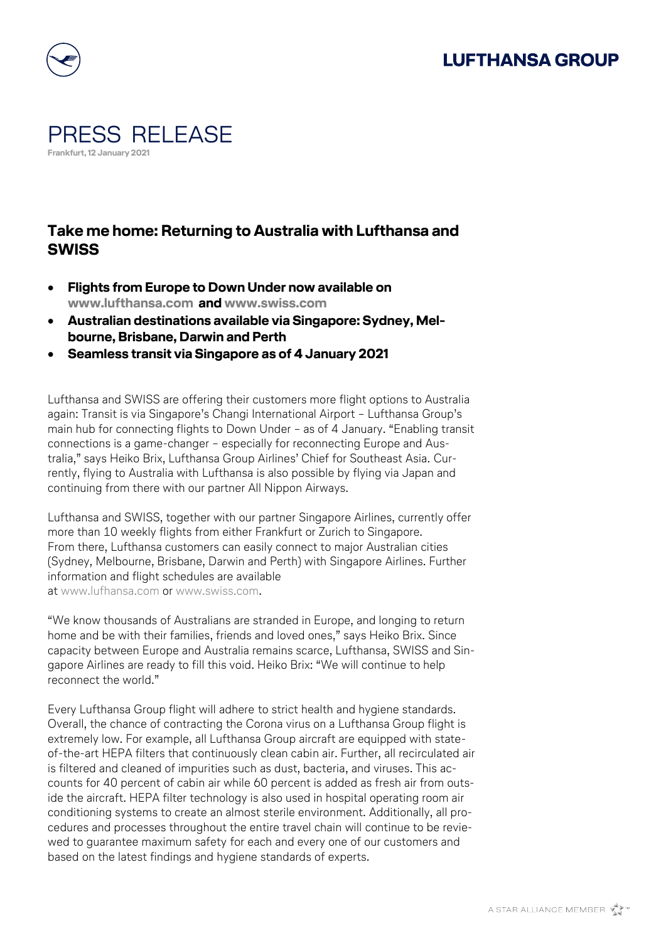## **LUFTHANSA GROUP**



## PRESS RELEASE **Frankfurt, 12 January 2021**

## **Take me home: Returning to Australia with Lufthansa and SWISS**

- **Flights from Europe to Down Under now available on [www.lufthansa.com](http://www.lufthansa.com/) and [www.swiss.com](http://www.swiss.com/)**
- **Australian destinations available via Singapore: Sydney, Melbourne, Brisbane, Darwin and Perth**
- **Seamless transit via Singapore as of 4 January 2021**

Lufthansa and SWISS are offering their customers more flight options to Australia again: Transit is via Singapore's Changi International Airport – Lufthansa Group's main hub for connecting flights to Down Under – as of 4 January. "Enabling transit connections is a game-changer – especially for reconnecting Europe and Australia," says Heiko Brix, Lufthansa Group Airlines' Chief for Southeast Asia. Currently, flying to Australia with Lufthansa is also possible by flying via Japan and continuing from there with our partner All Nippon Airways.

Lufthansa and SWISS, together with our partner Singapore Airlines, currently offer more than 10 weekly flights from either Frankfurt or Zurich to Singapore. From there, Lufthansa customers can easily connect to major Australian cities (Sydney, Melbourne, Brisbane, Darwin and Perth) with Singapore Airlines. Further information and flight schedules are available at [www.lufhansa.com](http://www.lufhansa.com/) or www.swiss.com

"We know thousands of Australians are stranded in Europe, and longing to return home and be with their families, friends and loved ones," says Heiko Brix. Since capacity between Europe and Australia remains scarce, Lufthansa, SWISS and Singapore Airlines are ready to fill this void. Heiko Brix: "We will continue to help reconnect the world."

Every Lufthansa Group flight will adhere to strict health and hygiene standards. Overall, the chance of contracting the Corona virus on a Lufthansa Group flight is extremely low. For example, all Lufthansa Group aircraft are equipped with stateof-the-art HEPA filters that continuously clean cabin air. Further, all recirculated air is filtered and cleaned of impurities such as dust, bacteria, and viruses. This accounts for 40 percent of cabin air while 60 percent is added as fresh air from outside the aircraft. HEPA filter technology is also used in hospital operating room air conditioning systems to create an almost sterile environment. Additionally, all procedures and processes throughout the entire travel chain will continue to be reviewed to guarantee maximum safety for each and every one of our customers and based on the latest findings and hygiene standards of experts.